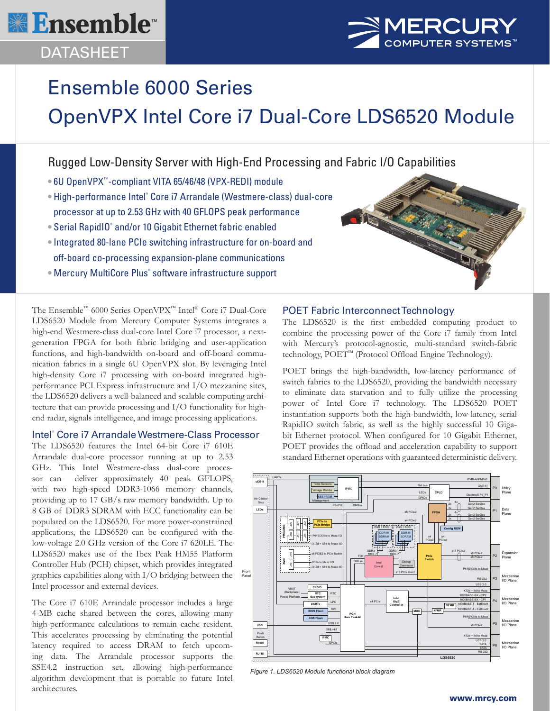# **<u> <b>\**</u> Ensemble™

## DATASHEET



## Ensemble 6000 Series OpenVPX Intel Core i7 Dual-Core LDS6520 Module

### Rugged Low-Density Server with High-End Processing and Fabric I/O Capabilities

- 6U OpenVPX™-compliant VITA 65/46/48 (VPX-REDI) module
- High-performance Intel® Core i7 Arrandale (Westmere-class) dual-core processor at up to 2.53 GHz with 40 GFLOPS peak performance
- Serial RapidIO<sup>®</sup> and/or 10 Gigabit Ethernet fabric enabled
- Integrated 80-lane PCIe switching infrastructure for on-board and off-board co-processing expansion-plane communications
- Mercury MultiCore Plus® software infrastructure support



#### Intel® Core i7 Arrandale Westmere-Class Processor

The LDS6520 features the Intel 64-bit Core i7 610E Arrandale dual-core processor running at up to 2.53 GHz. This Intel Westmere-class dual-core processor can deliver approximately 40 peak GFLOPS, with two high-speed DDR3-1066 memory channels, providing up to 17 GB/s raw memory bandwidth. Up to 8 GB of DDR3 SDRAM with ECC functionality can be populated on the LDS6520. For more power-constrained applications, the LDS6520 can be configured with the low-voltage 2.0 GHz version of the Core i7 620LE. The LDS6520 makes use of the Ibex Peak HM55 Platform Controller Hub (PCH) chipset, which provides integrated graphics capabilities along with I/O bridging between the Intel processor and external devices.

The Core i7 610E Arrandale processor includes a large 4-MB cache shared between the cores, allowing many high-performance calculations to remain cache resident. This accelerates processing by eliminating the potential latency required to access DRAM to fetch upcoming data. The Arrandale processor supports the SSE4.2 instruction set, allowing high-performance algorithm development that is portable to future Intel architectures.

#### POET Fabric Interconnect Technology

The LDS6520 is the first embedded computing product to combine the processing power of the Core i7 family from Intel with Mercury's protocol-agnostic, multi-standard switch-fabric technology, POET<sup>™</sup> (Protocol Offload Engine Technology).

POET brings the high-bandwidth, low-latency performance of switch fabrics to the LDS6520, providing the bandwidth necessary to eliminate data starvation and to fully utilize the processing power of Intel Core i7 technology. The LDS6520 POET instantiation supports both the high-bandwidth, low-latency, serial RapidIO switch fabric, as well as the highly successful 10 Gigabit Ethernet protocol. When configured for 10 Gigabit Ethernet, POET provides the offload and acceleration capability to support standard Ethernet operations with guaranteed deterministic delivery.



 *Figure 1. LDS6520 Module functional block diagram*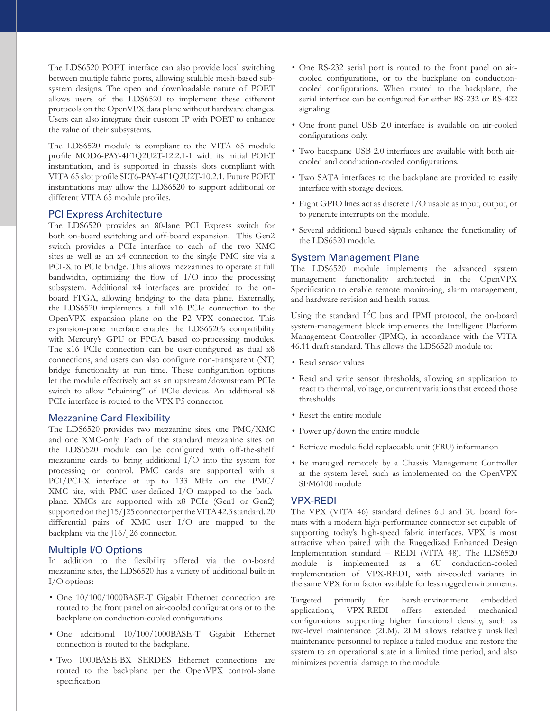The LDS6520 POET interface can also provide local switching between multiple fabric ports, allowing scalable mesh-based subsystem designs. The open and downloadable nature of POET allows users of the LDS6520 to implement these different protocols on the OpenVPX data plane without hardware changes. Users can also integrate their custom IP with POET to enhance the value of their subsystems.

The LDS6520 module is compliant to the VITA 65 module profile MOD6-PAY-4F1Q2U2T-12.2.1-1 with its initial POET instantiation, and is supported in chassis slots compliant with VITA 65 slot profile SLT6-PAY-4F1Q2U2T-10.2.1. Future POET instantiations may allow the LDS6520 to support additional or different VITA 65 module profiles.

#### PCI Express Architecture

The LDS6520 provides an 80-lane PCI Express switch for both on-board switching and off-board expansion. This Gen2 switch provides a PCIe interface to each of the two XMC sites as well as an x4 connection to the single PMC site via a PCI-X to PCIe bridge. This allows mezzanines to operate at full bandwidth, optimizing the flow of I/O into the processing subsystem. Additional x4 interfaces are provided to the onboard FPGA, allowing bridging to the data plane. Externally, the LDS6520 implements a full x16 PCIe connection to the OpenVPX expansion plane on the P2 VPX connector. This expansion-plane interface enables the LDS6520's compatibility with Mercury's GPU or FPGA based co-processing modules. The x16 PCIe connection can be user-configured as dual x8 connections, and users can also configure non-transparent (NT) bridge functionality at run time. These configuration options let the module effectively act as an upstream/downstream PCIe switch to allow "chaining" of PCIe devices. An additional x8 PCIe interface is routed to the VPX P5 connector.

#### Mezzanine Card Flexibility

The LDS6520 provides two mezzanine sites, one PMC/XMC and one XMC-only. Each of the standard mezzanine sites on the LDS6520 module can be configured with off-the-shelf mezzanine cards to bring additional I/O into the system for processing or control. PMC cards are supported with a PCI/PCI-X interface at up to 133 MHz on the PMC/ XMC site, with PMC user-defined I/O mapped to the backplane. XMCs are supported with x8 PCIe (Gen1 or Gen2) supported on the J15/J25 connector per the VITA 42.3 standard. 20 differential pairs of XMC user I/O are mapped to the backplane via the J16/J26 connector.

#### Multiple I/O Options

In addition to the flexibility offered via the on-board mezzanine sites, the LDS6520 has a variety of additional built-in I/O options:

- One 10/100/1000BASE-T Gigabit Ethernet connection are routed to the front panel on air-cooled configurations or to the backplane on conduction-cooled configurations.
- One additional 10/100/1000BASE-T Gigabit Ethernet connection is routed to the backplane.
- Two 1000BASE-BX SERDES Ethernet connections are routed to the backplane per the OpenVPX control-plane specification.
- One RS-232 serial port is routed to the front panel on aircooled configurations, or to the backplane on conductioncooled configurations. When routed to the backplane, the serial interface can be configured for either RS-232 or RS-422 signaling.
- One front panel USB 2.0 interface is available on air-cooled configurations only.
- Two backplane USB 2.0 interfaces are available with both aircooled and conduction-cooled configurations.
- Two SATA interfaces to the backplane are provided to easily interface with storage devices.
- Eight GPIO lines act as discrete I/O usable as input, output, or to generate interrupts on the module.
- Several additional bused signals enhance the functionality of the LDS6520 module.

#### System Management Plane

The LDS6520 module implements the advanced system management functionality architected in the OpenVPX Specification to enable remote monitoring, alarm management, and hardware revision and health status.

Using the standard  $I^2C$  bus and IPMI protocol, the on-board system-management block implements the Intelligent Platform Management Controller (IPMC), in accordance with the VITA 46.11 draft standard. This allows the LDS6520 module to:

- Read sensor values
- Read and write sensor thresholds, allowing an application to react to thermal, voltage, or current variations that exceed those thresholds
- Reset the entire module
- Power up/down the entire module
- Retrieve module field replaceable unit (FRU) information
- Be managed remotely by a Chassis Management Controller at the system level, such as implemented on the OpenVPX SFM6100 module

#### VPX-REDI

The VPX (VITA 46) standard defines 6U and 3U board formats with a modern high-performance connector set capable of supporting today's high-speed fabric interfaces. VPX is most attractive when paired with the Ruggedized Enhanced Design Implementation standard – REDI (VITA 48). The LDS6520 module is implemented as a 6U conduction-cooled implementation of VPX-REDI, with air-cooled variants in the same VPX form factor available for less rugged environments.

Targeted primarily for harsh-environment embedded applications, VPX-REDI offers extended mechanical configurations supporting higher functional density, such as two-level maintenance (2LM). 2LM allows relatively unskilled maintenance personnel to replace a failed module and restore the system to an operational state in a limited time period, and also minimizes potential damage to the module.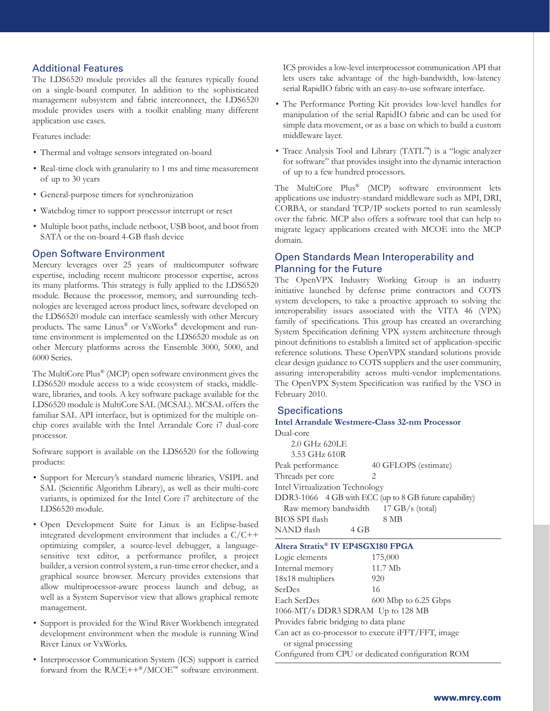#### Additional Features

The LDS6520 module provides all the features typically found on a single-board computer. In addition to the sophisticated management subsystem and fabric interconnect, the LDS6520 module provides users with a toolkit enabling many different application use cases.

Features include:

- Thermal and voltage sensors integrated on-board
- Real-time clock with granularity to 1 ms and time measurement of up to 30 years
- General-purpose timers for synchronization
- Watchdog timer to support processor interrupt or reset
- Multiple boot paths, include netboot, USB boot, and boot from SATA or the on-board 4-GB flash device

#### Open Software Environment

Mercury leverages over 25 years of multicomputer software expertise, including recent multicore processor expertise, across its many platforms. This strategy is fully applied to the LDS6520 module. Because the processor, memory, and surrounding technologies are leveraged across product lines, software developed on the LDS6520 module can interface seamlessly with other Mercury products. The same Linux® or VxWorks® development and runtime environment is implemented on the LDS6520 module as on other Mercury platforms across the Ensemble 3000, 5000, and 6000 Series.

The MultiCore Plus® (MCP) open software environment gives the LDS6520 module access to a wide ecosystem of stacks, middleware, libraries, and tools. A key software package available for the LDS6520 module is MultiCore SAL (MCSAL). MCSAL offers the familiar SAL API interface, but is optimized for the multiple onchip cores available with the Intel Arrandale Core i7 dual-core processor.

Software support is available on the LDS6520 for the following products:

- Support for Mercury's standard numeric libraries, VSIPL and SAL (Scientific Algorithm Library), as well as their multi-core variants, is optimized for the Intel Core i7 architecture of the LDS6520 module.
- Open Development Suite for Linux is an Eclipse-based integrated development environment that includes a  $C/C++$ optimizing compiler, a source-level debugger, a languagesensitive text editor, a performance profiler, a project builder, a version control system, a run-time error checker, and a graphical source browser. Mercury provides extensions that allow multiprocessor-aware process launch and debug, as well as a System Supervisor view that allows graphical remote management.
- Support is provided for the Wind River Workbench integrated development environment when the module is running Wind River Linux or VxWorks.
- Interprocessor Communication System (ICS) support is carried forward from the  $RACE++^{\circledR}/MCOE^{m}$  software environment.

ICS provides a low-level interprocessor communication API that lets users take advantage of the high-bandwidth, low-latency serial RapidIO fabric with an easy-to-use software interface.

- The Performance Porting Kit provides low-level handles for manipulation of the serial RapidIO fabric and can be used for simple data movement, or as a base on which to build a custom middleware layer.
- Trace Analysis Tool and Library (TATL™) is a "logic analyzer for software" that provides insight into the dynamic interaction of up to a few hundred processors.

The MultiCore Plus® (MCP) software environment lets applications use industry-standard middleware such as MPI, DRI, CORBA, or standard TCP/IP sockets ported to run seamlessly over the fabric. MCP also offers a software tool that can help to migrate legacy applications created with MCOE into the MCP domain.

#### Open Standards Mean Interoperability and Planning for the Future

The OpenVPX Industry Working Group is an industry initiative launched by defense prime contractors and COTS system developers, to take a proactive approach to solving the interoperability issues associated with the VITA 46 (VPX) family of specifications. This group has created an overarching System Specification defining VPX system architecture through pinout definitions to establish a limited set of application-specific reference solutions. These OpenVPX standard solutions provide clear design guidance to COTS suppliers and the user community, assuring interoperability across multi-vendor implementations. The OpenVPX System Specification was ratified by the VSO in February 2010.

#### **Specifications**

#### **Intel Arrandale Westmere-Class 32-nm Processor**  Dual-core

 2.0 GHz 620LE 3.53 GHz 610R Peak performance 40 GFLOPS (estimate) Threads per core 2 Intel Virtualization Technology DDR3-1066 4 GB with ECC (up to 8 GB future capability) Raw memory bandwidth 17 GB/s (total)

| BIOS SPI flash |      | -8 MB |
|----------------|------|-------|
| NAND flash     | 4 GB |       |

#### **Altera Stratix® IV EP4SGX180 FPGA**

| Logic elements                                     | 175,000              |
|----------------------------------------------------|----------------------|
| Internal memory                                    | 11.7 Mb              |
| 18x18 multipliers                                  | 920                  |
| SerDes                                             | 16                   |
| Each SerDes                                        | 600 Mbp to 6.25 Gbps |
| 1066-MT/s DDR3 SDRAM Up to 128 MB                  |                      |
| Provides fabric bridging to data plane             |                      |
| Can act as co-processor to execute iFFT/FFT, image |                      |
| or signal processing                               |                      |
| Configured from CPU or dedicated configuration ROM |                      |